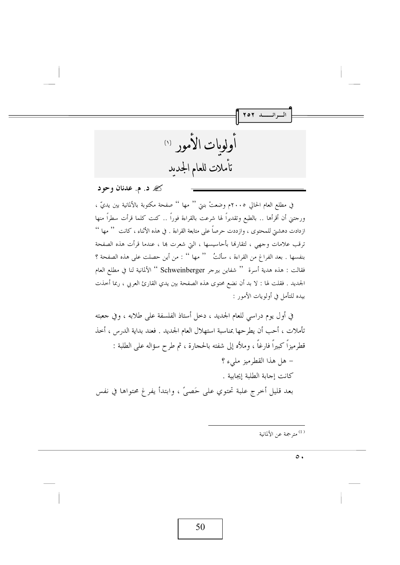أولومات الأمور (١) تأملات للعام الجدىد

که د. م. عدنان وحود

في مطلع العام الحالي ٢٠٠٥م وضعتْ بنتي '' مها '' صفحة مكتوبة بالألمانية بين يديّ ، ورجتني أن أقرأها .. بالطبع وتقديراً لها شرعت بالقراءة فوراً .. كنت كلما قرأت سطراً منها ازدادت دهشتي للمحتوى ، وازددت حرصاً على متابعة القراءة . في هذه الأثناء ، كانت '' مها '' ترقب علامات وجهي ، لتقارفما بأحاسيسها ، التي شعرت بما ، عندما قرأت هذه الصفحة بنفسها . بعد الفراغ من القراءة ، سألتُ '' مها '' : من أين حصلت على هذه الصفحة ؟ فقالت : هذه هدية أسرة '' شفاين بيرجر Schweinberger '' الألمانية لنا في مطلع العام الجديد . فقلت لها : لا بد أن نضع محتوى هذه الصفحة بين يدي القارئ العربي ، ربما أحذت بيده للتأمل في أولويات الأمور :

في أول يوم دراسي للعام الجديد ، دخل أستاذ الفلسفة على طلابه ، وفي جعبته تأملات ، أحب أن يطرحها بمناسبة استهلال العام الجديد . فعند بداية الدرس ، أخذ قطرميزاً كبيراً فارغاً ، وملأه إلى شفته بالحجارة ، ثم طرح سؤاله على الطلبة : – هل هذا القطرميز مليءِ ؟ كانت إجابة الطلبة إيجابية . بعد قليل أخرج علبة تحتوي على حَصيَّ ، وابتدأ يفرغ محتواها في نفس

<sup>(1)</sup> مترجمة عن الألمانية